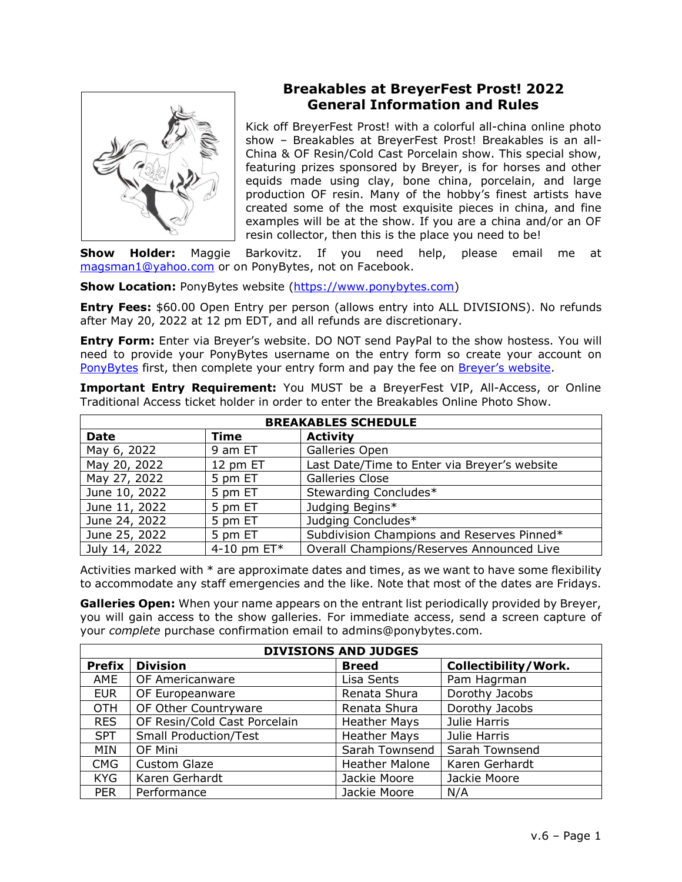

### **Breakables at BreyerFest Prost! 2022 General Information and Rules**

Kick off BreyerFest Prost! with a colorful all-china online photo show – Breakables at BreyerFest Prost! Breakables is an all-China & OF Resin/Cold Cast Porcelain show. This special show, featuring prizes sponsored by Breyer, is for horses and other equids made using clay, bone china, porcelain, and large production OF resin. Many of the hobby's finest artists have created some of the most exquisite pieces in china, and fine examples will be at the show. If you are a china and/or an OF resin collector, then this is the place you need to be!

**Show Holder:** Maggie Barkovitz. If you need help, please email me at [magsman1@yahoo.com](mailto:magsman1@yahoo.com) or on PonyBytes, not on Facebook.

#### **Show Location:** PonyBytes website [\(https://www.ponybytes.com\)](https://www.ponybytes.com/)

**Entry Fees:** \$60.00 Open Entry per person (allows entry into ALL DIVISIONS). No refunds after May 20, 2022 at 12 pm EDT, and all refunds are discretionary.

**Entry Form:** Enter via Breyer's website. DO NOT send PayPal to the show hostess. You will need to provide your PonyBytes username on the entry form so create your account on [PonyBytes](https://www.ponybytes.com/) first, then complete your entry form and pay the fee on [Breyer's website](https://www.breyerhorses.com/).

**Important Entry Requirement:** You MUST be a BreyerFest VIP, All-Access, or Online Traditional Access ticket holder in order to enter the Breakables Online Photo Show.

| <b>BREAKABLES SCHEDULE</b> |               |                                              |  |
|----------------------------|---------------|----------------------------------------------|--|
| <b>Date</b>                | Time          | <b>Activity</b>                              |  |
| May 6, 2022                | 9 am ET       | Galleries Open                               |  |
| May 20, 2022               | 12 pm ET      | Last Date/Time to Enter via Breyer's website |  |
| May 27, 2022               | 5 pm ET       | <b>Galleries Close</b>                       |  |
| June 10, 2022              | 5 pm ET       | Stewarding Concludes*                        |  |
| June 11, 2022              | 5 pm ET       | Judging Begins*                              |  |
| June 24, 2022              | 5 pm ET       | Judging Concludes*                           |  |
| June 25, 2022              | 5 pm ET       | Subdivision Champions and Reserves Pinned*   |  |
| July 14, 2022              | 4-10 pm $ET*$ | Overall Champions/Reserves Announced Live    |  |

Activities marked with \* are approximate dates and times, as we want to have some flexibility to accommodate any staff emergencies and the like. Note that most of the dates are Fridays.

**Galleries Open:** When your name appears on the entrant list periodically provided by Breyer, you will gain access to the show galleries. For immediate access, send a screen capture of your *complete* purchase confirmation email to admins@ponybytes.com.

| <b>DIVISIONS AND JUDGES</b> |                              |                       |                             |  |  |
|-----------------------------|------------------------------|-----------------------|-----------------------------|--|--|
| <b>Prefix</b>               | <b>Division</b>              | <b>Breed</b>          | <b>Collectibility/Work.</b> |  |  |
| AME                         | OF Americanware              | Lisa Sents            | Pam Hagrman                 |  |  |
| <b>EUR</b>                  | OF Europeanware              | Renata Shura          | Dorothy Jacobs              |  |  |
| <b>OTH</b>                  | OF Other Countryware         | Renata Shura          | Dorothy Jacobs              |  |  |
| <b>RES</b>                  | OF Resin/Cold Cast Porcelain | <b>Heather Mays</b>   | Julie Harris                |  |  |
| <b>SPT</b>                  | <b>Small Production/Test</b> | <b>Heather Mays</b>   | Julie Harris                |  |  |
| MIN                         | OF Mini                      | Sarah Townsend        | Sarah Townsend              |  |  |
| <b>CMG</b>                  | <b>Custom Glaze</b>          | <b>Heather Malone</b> | Karen Gerhardt              |  |  |
| <b>KYG</b>                  | Karen Gerhardt               | Jackie Moore          | Jackie Moore                |  |  |
| <b>PER</b>                  | Performance                  | Jackie Moore          | N/A                         |  |  |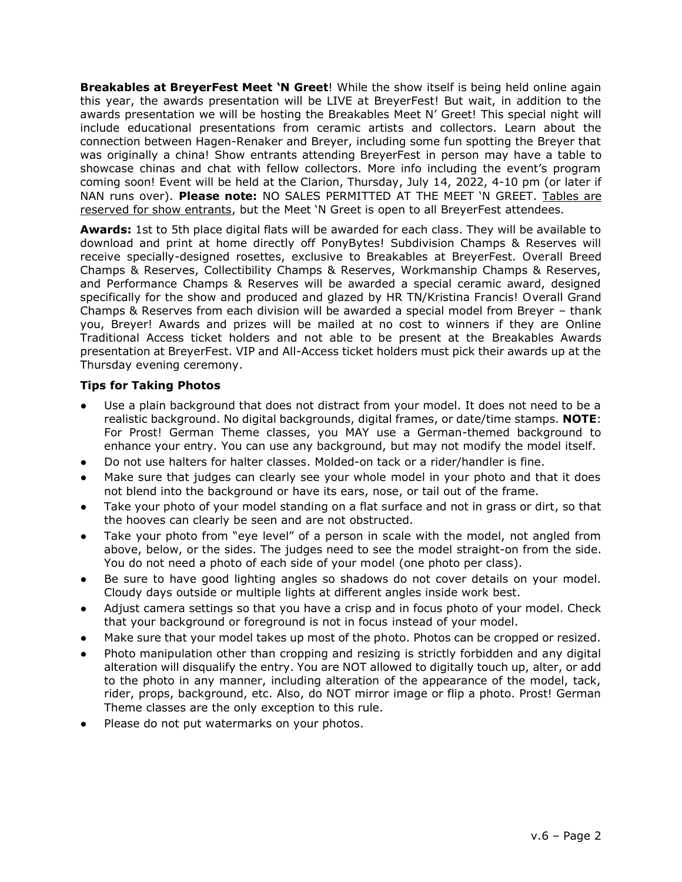**Breakables at BreyerFest Meet 'N Greet**! While the show itself is being held online again this year, the awards presentation will be LIVE at BreyerFest! But wait, in addition to the awards presentation we will be hosting the Breakables Meet N' Greet! This special night will include educational presentations from ceramic artists and collectors. Learn about the connection between Hagen-Renaker and Breyer, including some fun spotting the Breyer that was originally a china! Show entrants attending BreyerFest in person may have a table to showcase chinas and chat with fellow collectors. More info including the event's program coming soon! Event will be held at the Clarion, Thursday, July 14, 2022, 4-10 pm (or later if NAN runs over). **Please note:** NO SALES PERMITTED AT THE MEET 'N GREET. Tables are reserved for show entrants, but the Meet 'N Greet is open to all BreyerFest attendees.

**Awards:** 1st to 5th place digital flats will be awarded for each class. They will be available to download and print at home directly off PonyBytes! Subdivision Champs & Reserves will receive specially-designed rosettes, exclusive to Breakables at BreyerFest. Overall Breed Champs & Reserves, Collectibility Champs & Reserves, Workmanship Champs & Reserves, and Performance Champs & Reserves will be awarded a special ceramic award, designed specifically for the show and produced and glazed by HR TN/Kristina Francis! Overall Grand Champs & Reserves from each division will be awarded a special model from Breyer – thank you, Breyer! Awards and prizes will be mailed at no cost to winners if they are Online Traditional Access ticket holders and not able to be present at the Breakables Awards presentation at BreyerFest. VIP and All-Access ticket holders must pick their awards up at the Thursday evening ceremony.

#### **Tips for Taking Photos**

- Use a plain background that does not distract from your model. It does not need to be a realistic background. No digital backgrounds, digital frames, or date/time stamps. **NOTE**: For Prost! German Theme classes, you MAY use a German-themed background to enhance your entry. You can use any background, but may not modify the model itself.
- Do not use halters for halter classes. Molded-on tack or a rider/handler is fine.
- Make sure that judges can clearly see your whole model in your photo and that it does not blend into the background or have its ears, nose, or tail out of the frame.
- Take your photo of your model standing on a flat surface and not in grass or dirt, so that the hooves can clearly be seen and are not obstructed.
- Take your photo from "eye level" of a person in scale with the model, not angled from above, below, or the sides. The judges need to see the model straight-on from the side. You do not need a photo of each side of your model (one photo per class).
- Be sure to have good lighting angles so shadows do not cover details on your model. Cloudy days outside or multiple lights at different angles inside work best.
- Adjust camera settings so that you have a crisp and in focus photo of your model. Check that your background or foreground is not in focus instead of your model.
- Make sure that your model takes up most of the photo. Photos can be cropped or resized.
- Photo manipulation other than cropping and resizing is strictly forbidden and any digital alteration will disqualify the entry. You are NOT allowed to digitally touch up, alter, or add to the photo in any manner, including alteration of the appearance of the model, tack, rider, props, background, etc. Also, do NOT mirror image or flip a photo. Prost! German Theme classes are the only exception to this rule.
- Please do not put watermarks on your photos.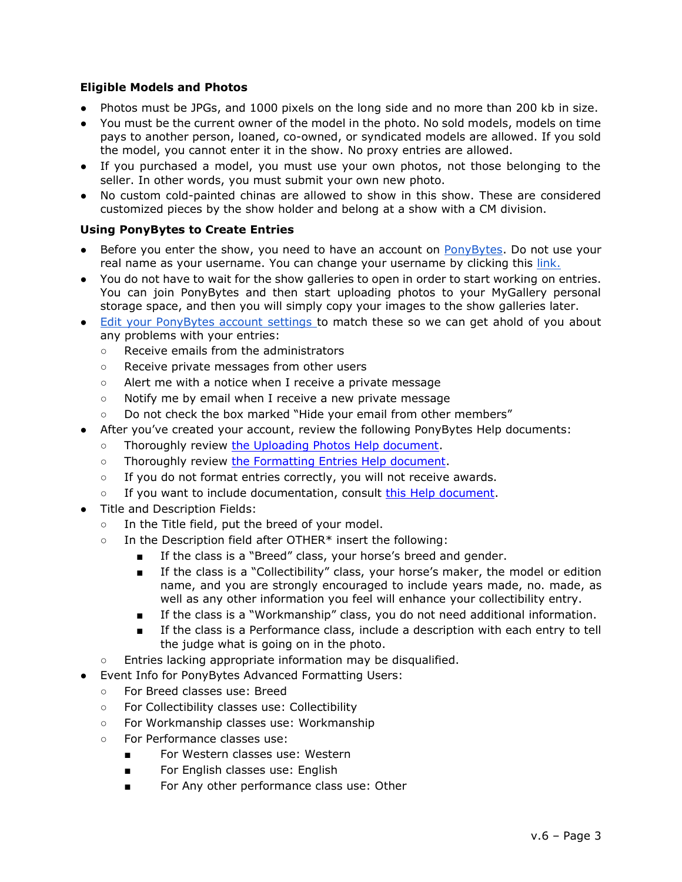#### **Eligible Models and Photos**

- Photos must be JPGs, and 1000 pixels on the long side and no more than 200 kb in size.
- You must be the current owner of the model in the photo. No sold models, models on time pays to another person, loaned, co-owned, or syndicated models are allowed. If you sold the model, you cannot enter it in the show. No proxy entries are allowed.
- If you purchased a model, you must use your own photos, not those belonging to the seller. In other words, you must submit your own new photo.
- No custom cold-painted chinas are allowed to show in this show. These are considered customized pieces by the show holder and belong at a show with a CM division.

#### **Using PonyBytes to Create Entries**

- Before you enter the show, you need to have an account on [PonyBytes.](http://www.ponybytes.com/) Do not use your real name as your username. You can change your username by clicking this [link.](https://www.ponybytes.com/forum/usercp.php?action=changename)
- You do not have to wait for the show galleries to open in order to start working on entries. You can join PonyBytes and then start uploading photos to your MyGallery personal storage space, and then you will simply copy your images to the show galleries later.
- [Edit your PonyBytes account settings](https://www.ponybytes.com/forum/usercp.php?action=options) to match these so we can get ahold of you about any problems with your entries:
	- Receive emails from the administrators
	- Receive private messages from other users
	- Alert me with a notice when I receive a private message
	- Notify me by email when I receive a new private message
	- Do not check the box marked "Hide your email from other members"
- After you've created your account, review the following PonyBytes Help documents:
	- Thoroughly review [the Uploading Photos Help document.](https://www.ponybytes.com/forum/misc.php?action=help&hid=28https://www.ponybytes.com/forum/misc.php?action=help&hid=28)
	- Thoroughly review [the Formatting Entries Help document.](https://www.ponybytes.com/forum/misc.php?action=help&hid=31)
	- If you do not format entries correctly, you will not receive awards.
	- If you want to include documentation, consult [this Help document.](https://www.ponybytes.com/forum/misc.php?action=help&hid=35)
- Title and Description Fields:
	- In the Title field, put the breed of your model.
	- In the Description field after OTHER\* insert the following:
		- If the class is a "Breed" class, your horse's breed and gender.
		- If the class is a "Collectibility" class, your horse's maker, the model or edition name, and you are strongly encouraged to include years made, no. made, as well as any other information you feel will enhance your collectibility entry.
		- If the class is a "Workmanship" class, you do not need additional information.
		- If the class is a Performance class, include a description with each entry to tell the judge what is going on in the photo.
	- Entries lacking appropriate information may be disqualified.
- Event Info for PonyBytes Advanced Formatting Users:
	- For Breed classes use: Breed
	- For Collectibility classes use: Collectibility
	- For Workmanship classes use: Workmanship
	- For Performance classes use:
		- For Western classes use: Western
		- For English classes use: English
		- For Any other performance class use: Other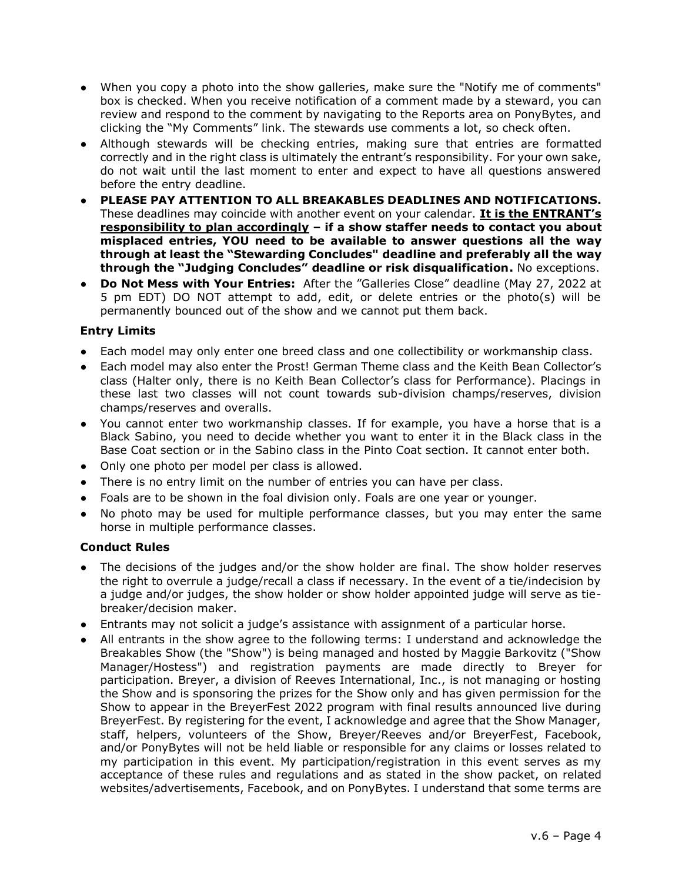- When you copy a photo into the show galleries, make sure the "Notify me of comments" box is checked. When you receive notification of a comment made by a steward, you can review and respond to the comment by navigating to the Reports area on PonyBytes, and clicking the "My Comments" link. The stewards use comments a lot, so check often.
- Although stewards will be checking entries, making sure that entries are formatted correctly and in the right class is ultimately the entrant's responsibility. For your own sake, do not wait until the last moment to enter and expect to have all questions answered before the entry deadline.
- **PLEASE PAY ATTENTION TO ALL BREAKABLES DEADLINES AND NOTIFICATIONS.**  These deadlines may coincide with another event on your calendar. **It is the ENTRANT's responsibility to plan accordingly – if a show staffer needs to contact you about misplaced entries, YOU need to be available to answer questions all the way through at least the "Stewarding Concludes" deadline and preferably all the way through the "Judging Concludes" deadline or risk disqualification.** No exceptions.
- **Do Not Mess with Your Entries:** After the "Galleries Close" deadline (May 27, 2022 at 5 pm EDT) DO NOT attempt to add, edit, or delete entries or the photo(s) will be permanently bounced out of the show and we cannot put them back.

#### **Entry Limits**

- Each model may only enter one breed class and one collectibility or workmanship class.
- Each model may also enter the Prost! German Theme class and the Keith Bean Collector's class (Halter only, there is no Keith Bean Collector's class for Performance). Placings in these last two classes will not count towards sub-division champs/reserves, division champs/reserves and overalls.
- You cannot enter two workmanship classes. If for example, you have a horse that is a Black Sabino, you need to decide whether you want to enter it in the Black class in the Base Coat section or in the Sabino class in the Pinto Coat section. It cannot enter both.
- Only one photo per model per class is allowed.
- There is no entry limit on the number of entries you can have per class.
- Foals are to be shown in the foal division only. Foals are one year or younger.
- No photo may be used for multiple performance classes, but you may enter the same horse in multiple performance classes.

#### **Conduct Rules**

- The decisions of the judges and/or the show holder are final. The show holder reserves the right to overrule a judge/recall a class if necessary. In the event of a tie/indecision by a judge and/or judges, the show holder or show holder appointed judge will serve as tiebreaker/decision maker.
- Entrants may not solicit a judge's assistance with assignment of a particular horse.
- All entrants in the show agree to the following terms: I understand and acknowledge the Breakables Show (the "Show") is being managed and hosted by Maggie Barkovitz ("Show Manager/Hostess") and registration payments are made directly to Breyer for participation. Breyer, a division of Reeves International, Inc., is not managing or hosting the Show and is sponsoring the prizes for the Show only and has given permission for the Show to appear in the BreyerFest 2022 program with final results announced live during BreyerFest. By registering for the event, I acknowledge and agree that the Show Manager, staff, helpers, volunteers of the Show, Breyer/Reeves and/or BreyerFest, Facebook, and/or PonyBytes will not be held liable or responsible for any claims or losses related to my participation in this event. My participation/registration in this event serves as my acceptance of these rules and regulations and as stated in the show packet, on related websites/advertisements, Facebook, and on PonyBytes. I understand that some terms are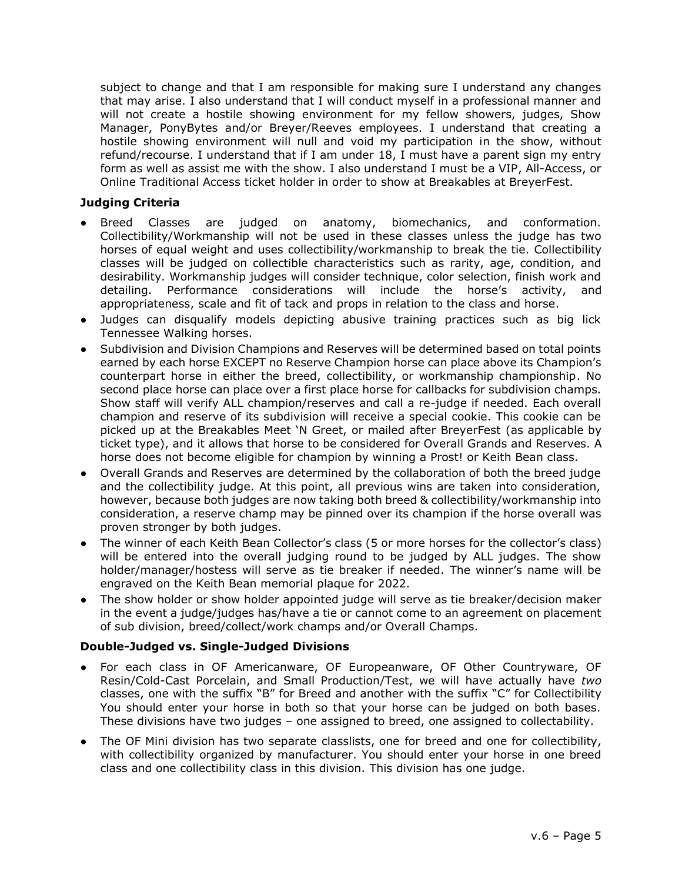subject to change and that I am responsible for making sure I understand any changes that may arise. I also understand that I will conduct myself in a professional manner and will not create a hostile showing environment for my fellow showers, judges, Show Manager, PonyBytes and/or Breyer/Reeves employees. I understand that creating a hostile showing environment will null and void my participation in the show, without refund/recourse. I understand that if I am under 18, I must have a parent sign my entry form as well as assist me with the show. I also understand I must be a VIP, All-Access, or Online Traditional Access ticket holder in order to show at Breakables at BreyerFest.

#### **Judging Criteria**

- Breed Classes are judged on anatomy, biomechanics, and conformation. Collectibility/Workmanship will not be used in these classes unless the judge has two horses of equal weight and uses collectibility/workmanship to break the tie. Collectibility classes will be judged on collectible characteristics such as rarity, age, condition, and desirability. Workmanship judges will consider technique, color selection, finish work and detailing. Performance considerations will include the horse's activity, and appropriateness, scale and fit of tack and props in relation to the class and horse.
- Judges can disqualify models depicting abusive training practices such as big lick Tennessee Walking horses.
- Subdivision and Division Champions and Reserves will be determined based on total points earned by each horse EXCEPT no Reserve Champion horse can place above its Champion's counterpart horse in either the breed, collectibility, or workmanship championship. No second place horse can place over a first place horse for callbacks for subdivision champs. Show staff will verify ALL champion/reserves and call a re-judge if needed. Each overall champion and reserve of its subdivision will receive a special cookie. This cookie can be picked up at the Breakables Meet 'N Greet, or mailed after BreyerFest (as applicable by ticket type), and it allows that horse to be considered for Overall Grands and Reserves. A horse does not become eligible for champion by winning a Prost! or Keith Bean class.
- Overall Grands and Reserves are determined by the collaboration of both the breed judge and the collectibility judge. At this point, all previous wins are taken into consideration, however, because both judges are now taking both breed & collectibility/workmanship into consideration, a reserve champ may be pinned over its champion if the horse overall was proven stronger by both judges.
- The winner of each Keith Bean Collector's class (5 or more horses for the collector's class) will be entered into the overall judging round to be judged by ALL judges. The show holder/manager/hostess will serve as tie breaker if needed. The winner's name will be engraved on the Keith Bean memorial plaque for 2022.
- The show holder or show holder appointed judge will serve as tie breaker/decision maker in the event a judge/judges has/have a tie or cannot come to an agreement on placement of sub division, breed/collect/work champs and/or Overall Champs.

#### **Double-Judged vs. Single-Judged Divisions**

- For each class in OF Americanware, OF Europeanware, OF Other Countryware, OF Resin/Cold-Cast Porcelain, and Small Production/Test, we will have actually have *two* classes, one with the suffix "B" for Breed and another with the suffix "C" for Collectibility You should enter your horse in both so that your horse can be judged on both bases. These divisions have two judges – one assigned to breed, one assigned to collectability.
- The OF Mini division has two separate classlists, one for breed and one for collectibility, with collectibility organized by manufacturer. You should enter your horse in one breed class and one collectibility class in this division. This division has one judge.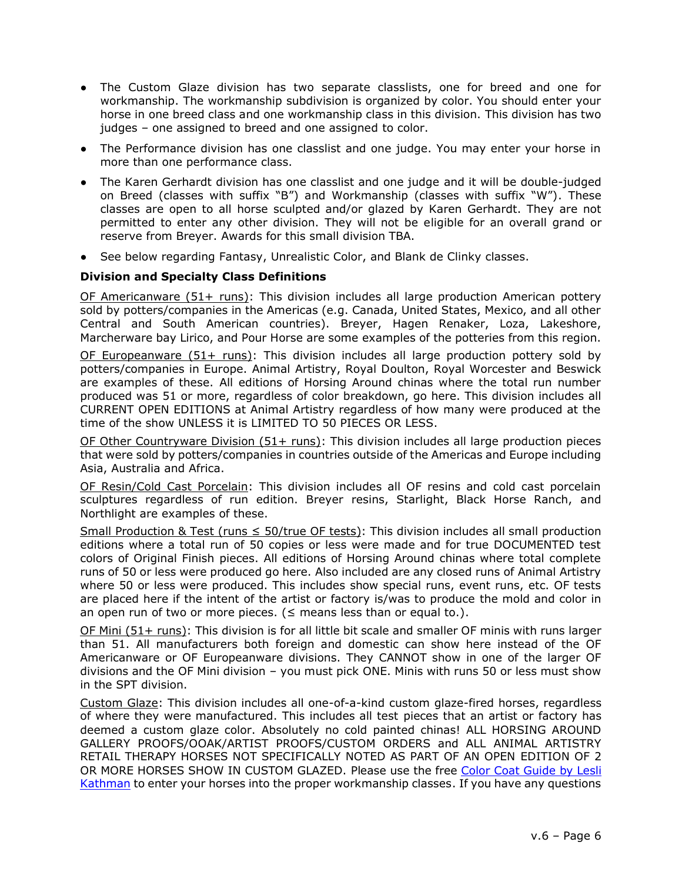- The Custom Glaze division has two separate classlists, one for breed and one for workmanship. The workmanship subdivision is organized by color. You should enter your horse in one breed class and one workmanship class in this division. This division has two judges – one assigned to breed and one assigned to color.
- The Performance division has one classlist and one judge. You may enter your horse in more than one performance class.
- The Karen Gerhardt division has one classlist and one judge and it will be double-judged on Breed (classes with suffix "B") and Workmanship (classes with suffix "W"). These classes are open to all horse sculpted and/or glazed by Karen Gerhardt. They are not permitted to enter any other division. They will not be eligible for an overall grand or reserve from Breyer. Awards for this small division TBA.
- See below regarding Fantasy, Unrealistic Color, and Blank de Clinky classes.

#### **Division and Specialty Class Definitions**

OF Americanware (51+ runs): This division includes all large production American pottery sold by potters/companies in the Americas (e.g. Canada, United States, Mexico, and all other Central and South American countries). Breyer, Hagen Renaker, Loza, Lakeshore, Marcherware bay Lirico, and Pour Horse are some examples of the potteries from this region.

OF Europeanware  $(51+$  runs): This division includes all large production pottery sold by potters/companies in Europe. Animal Artistry, Royal Doulton, Royal Worcester and Beswick are examples of these. All editions of Horsing Around chinas where the total run number produced was 51 or more, regardless of color breakdown, go here. This division includes all CURRENT OPEN EDITIONS at Animal Artistry regardless of how many were produced at the time of the show UNLESS it is LIMITED TO 50 PIECES OR LESS.

OF Other Countryware Division (51+ runs): This division includes all large production pieces that were sold by potters/companies in countries outside of the Americas and Europe including Asia, Australia and Africa.

OF Resin/Cold Cast Porcelain: This division includes all OF resins and cold cast porcelain sculptures regardless of run edition. Breyer resins, Starlight, Black Horse Ranch, and Northlight are examples of these.

Small Production & Test (runs ≤ 50/true OF tests): This division includes all small production editions where a total run of 50 copies or less were made and for true DOCUMENTED test colors of Original Finish pieces. All editions of Horsing Around chinas where total complete runs of 50 or less were produced go here. Also included are any closed runs of Animal Artistry where 50 or less were produced. This includes show special runs, event runs, etc. OF tests are placed here if the intent of the artist or factory is/was to produce the mold and color in an open run of two or more pieces. ( $\leq$  means less than or equal to.).

OF Mini (51+ runs): This division is for all little bit scale and smaller OF minis with runs larger than 51. All manufacturers both foreign and domestic can show here instead of the OF Americanware or OF Europeanware divisions. They CANNOT show in one of the larger OF divisions and the OF Mini division – you must pick ONE. Minis with runs 50 or less must show in the SPT division.

Custom Glaze: This division includes all one-of-a-kind custom glaze-fired horses, regardless of where they were manufactured. This includes all test pieces that an artist or factory has deemed a custom glaze color. Absolutely no cold painted chinas! ALL HORSING AROUND GALLERY PROOFS/OOAK/ARTIST PROOFS/CUSTOM ORDERS and ALL ANIMAL ARTISTRY RETAIL THERAPY HORSES NOT SPECIFICALLY NOTED AS PART OF AN OPEN EDITION OF 2 OR MORE HORSES SHOW IN CUSTOM GLAZED. Please use the free [Color Coat Guide by Lesli](https://equinetapestry.blog/wp-content/uploads/2020/07/NewColorCharts2020.pdf)  [Kathman](https://equinetapestry.blog/wp-content/uploads/2020/07/NewColorCharts2020.pdf) to enter your horses into the proper workmanship classes. If you have any questions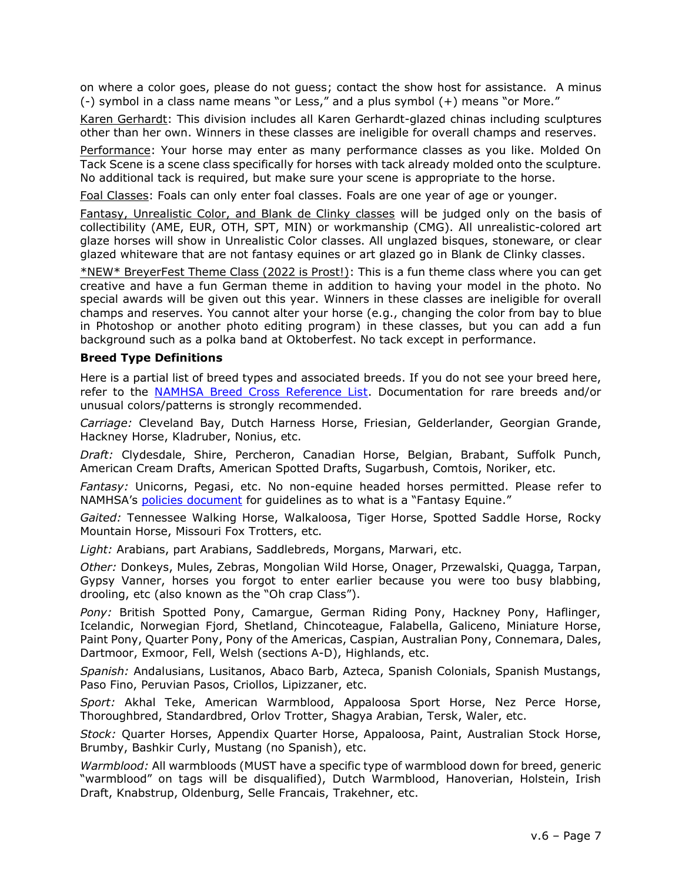on where a color goes, please do not guess; contact the show host for assistance. A minus (-) symbol in a class name means "or Less," and a plus symbol (+) means "or More."

Karen Gerhardt: This division includes all Karen Gerhardt-glazed chinas including sculptures other than her own. Winners in these classes are ineligible for overall champs and reserves.

Performance: Your horse may enter as many performance classes as you like. Molded On Tack Scene is a scene class specifically for horses with tack already molded onto the sculpture. No additional tack is required, but make sure your scene is appropriate to the horse.

Foal Classes: Foals can only enter foal classes. Foals are one year of age or younger.

Fantasy, Unrealistic Color, and Blank de Clinky classes will be judged only on the basis of collectibility (AME, EUR, OTH, SPT, MIN) or workmanship (CMG). All unrealistic-colored art glaze horses will show in Unrealistic Color classes. All unglazed bisques, stoneware, or clear glazed whiteware that are not fantasy equines or art glazed go in Blank de Clinky classes.

\*NEW\* BreyerFest Theme Class (2022 is Prost!): This is a fun theme class where you can get creative and have a fun German theme in addition to having your model in the photo. No special awards will be given out this year. Winners in these classes are ineligible for overall champs and reserves. You cannot alter your horse (e.g., changing the color from bay to blue in Photoshop or another photo editing program) in these classes, but you can add a fun background such as a polka band at Oktoberfest. No tack except in performance.

#### **Breed Type Definitions**

Here is a partial list of breed types and associated breeds. If you do not see your breed here, refer to the [NAMHSA Breed Cross Reference List.](https://namhsa.org/content/uploads/NAN2022/NAMHSA-Breed-Cross-Ref.pdf) Documentation for rare breeds and/or unusual colors/patterns is strongly recommended.

*Carriage:* Cleveland Bay, Dutch Harness Horse, Friesian, Gelderlander, Georgian Grande, Hackney Horse, Kladruber, Nonius, etc.

*Draft:* Clydesdale, Shire, Percheron, Canadian Horse, Belgian, Brabant, Suffolk Punch, American Cream Drafts, American Spotted Drafts, Sugarbush, Comtois, Noriker, etc.

*Fantasy:* Unicorns, Pegasi, etc. No non-equine headed horses permitted. Please refer to NAMHSA's [policies document](https://namhsa.org/content/uploads/forms/NAMHSAPolicies.pdf) for guidelines as to what is a "Fantasy Equine."

*Gaited:* Tennessee Walking Horse, Walkaloosa, Tiger Horse, Spotted Saddle Horse, Rocky Mountain Horse, Missouri Fox Trotters, etc.

*Light:* Arabians, part Arabians, Saddlebreds, Morgans, Marwari, etc.

*Other:* Donkeys, Mules, Zebras, Mongolian Wild Horse, Onager, Przewalski, Quagga, Tarpan, Gypsy Vanner, horses you forgot to enter earlier because you were too busy blabbing, drooling, etc (also known as the "Oh crap Class").

*Pony:* British Spotted Pony, Camargue, German Riding Pony, Hackney Pony, Haflinger, Icelandic, Norwegian Fjord, Shetland, Chincoteague, Falabella, Galiceno, Miniature Horse, Paint Pony, Quarter Pony, Pony of the Americas, Caspian, Australian Pony, Connemara, Dales, Dartmoor, Exmoor, Fell, Welsh (sections A-D), Highlands, etc.

*Spanish:* Andalusians, Lusitanos, Abaco Barb, Azteca, Spanish Colonials, Spanish Mustangs, Paso Fino, Peruvian Pasos, Criollos, Lipizzaner, etc.

*Sport:* Akhal Teke, American Warmblood, Appaloosa Sport Horse, Nez Perce Horse, Thoroughbred, Standardbred, Orlov Trotter, Shagya Arabian, Tersk, Waler, etc.

*Stock:* Quarter Horses, Appendix Quarter Horse, Appaloosa, Paint, Australian Stock Horse, Brumby, Bashkir Curly, Mustang (no Spanish), etc.

*Warmblood:* All warmbloods (MUST have a specific type of warmblood down for breed, generic "warmblood" on tags will be disqualified), Dutch Warmblood, Hanoverian, Holstein, Irish Draft, Knabstrup, Oldenburg, Selle Francais, Trakehner, etc.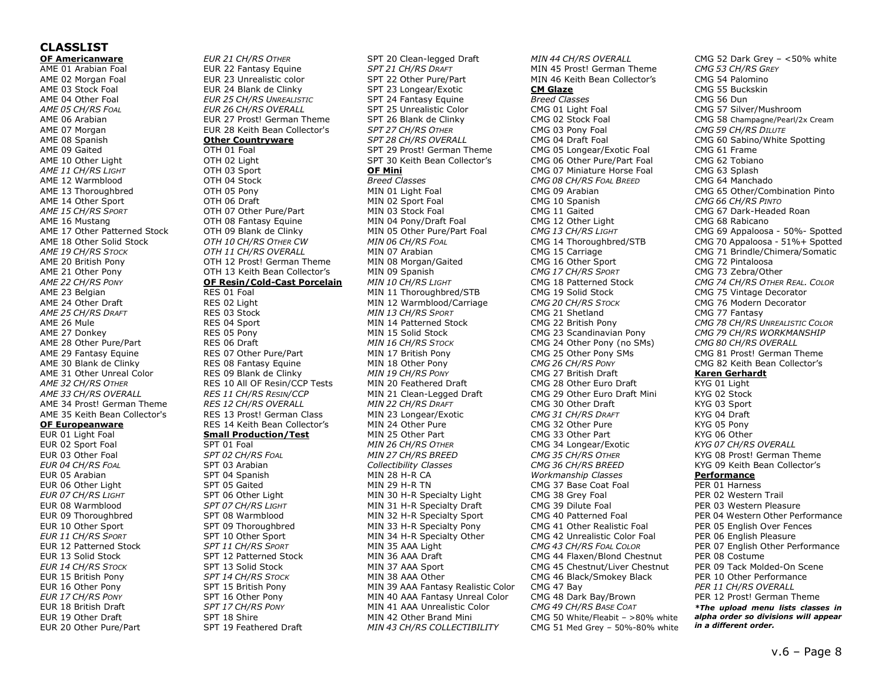#### **CLASSLIST OF Americanware**

AME 01 Arabian Foal AME 02 Morgan Foal AME 03 Stock Foal AME 04 Other Foal *AME 05 CH/RS FOAL* AME 06 Arabian AME 07 Morgan AME 08 Spanish AME 09 Gaited AME 10 Other Light *AME 11 CH/RS LIGHT* AME 12 Warmblood AME 13 Thoroughbred AME 14 Other Sport *AME 15 CH/RS SPORT* AME 16 Mustang AME 17 Other Patterned Stock AME 18 Other Solid Stock *AME 19 CH/RS STOCK* AME 20 British Pony AME 21 Other Pony *AME 22 CH/RS PONY* AME 23 Belgian AME 24 Other Draft *AME 25 CH/RS DRAFT* AME 26 Mule AME 27 Donkey AME 28 Other Pure/Part AME 29 Fantasy Equine AME 30 Blank de Clinky AME 31 Other Unreal Color *AME 32 CH/RS OTHER AME 33 CH/RS OVERALL* AME 34 Prost! German Theme AME 35 Keith Bean Collector's **OF Europeanware**

EUR 01 Light Foal EUR 02 Sport Foal EUR 03 Other Foal *EUR 04 CH/RS FOAL* EUR 05 Arabian EUR 06 Other Light *EUR 07 CH/RS LIGHT* EUR 08 Warmblood EUR 09 Thoroughbred EUR 10 Other Sport *EUR 11 CH/RS SPORT* EUR 12 Patterned Stock EUR 13 Solid Stock *EUR 14 CH/RS STOCK* EUR 15 British Pony EUR 16 Other Pony *EUR 17 CH/RS PONY* EUR 18 British Draft EUR 19 Other Draft EUR 20 Other Pure/Part

*EUR 21 CH/RS OTHER* EUR 22 Fantasy Equine EUR 23 Unrealistic color EUR 24 Blank de Clinky *EUR 25 CH/RS UNREALISTIC EUR 26 CH/RS OVERALL* EUR 27 Prost! German Theme EUR 28 Keith Bean Collector's **Other Countryware** OTH 01 Foal OTH 02 Light OTH 03 Sport OTH 04 Stock OTH 05 Pony OTH 06 Draft OTH 07 Other Pure/Part OTH 08 Fantasy Equine OTH 09 Blank de Clinky *OTH 10 CH/RS OTHER CW OTH 11 CH/RS OVERALL* OTH 12 Prost! German Theme OTH 13 Keith Bean Collector's **OF Resin/Cold-Cast Porcelain** RES 01 Foal RES 02 Light RES 03 Stock RES 04 Sport RES 05 Pony RES 06 Draft RES 07 Other Pure/Part RES 08 Fantasy Equine RES 09 Blank de Clinky RES 10 All OF Resin/CCP Tests *RES 11 CH/RS RESIN/CCP RES 12 CH/RS OVERALL* RES 13 Prost! German Class RES 14 Keith Bean Collector's **Small Production/Test** SPT 01 Foal *SPT 02 CH/RS FOAL* SPT 03 Arabian SPT 04 Spanish

SPT 05 Gaited SPT 06 Other Light *SPT 07 CH/RS LIGHT*  SPT 08 Warmblood SPT 09 Thoroughbred SPT 10 Other Sport *SPT 11 CH/RS SPORT*  SPT 12 Patterned Stock SPT 13 Solid Stock *SPT 14 CH/RS STOCK*  SPT 15 British Pony SPT 16 Other Pony *SPT 17 CH/RS PONY*  SPT 18 Shire SPT 19 Feathered Draft

SPT 20 Clean-legged Draft *SPT 21 CH/RS DRAFT*  SPT 22 Other Pure/Part SPT 23 Longear/Exotic SPT 24 Fantasy Equine SPT 25 Unrealistic Color SPT 26 Blank de Clinky *SPT 27 CH/RS OTHER SPT 28 CH/RS OVERALL* SPT 29 Prost! German Theme SPT 30 Keith Bean Collector's **OF Mini** *Breed Classes* MIN 01 Light Foal MIN 02 Sport Foal MIN 03 Stock Foal MIN 04 Pony/Draft Foal MIN 05 Other Pure/Part Foal *MIN 06 CH/RS FOAL* MIN 07 Arabian MIN 08 Morgan/Gaited MIN 09 Spanish *MIN 10 CH/RS LIGHT* MIN 11 Thoroughbred/STB MIN 12 Warmblood/Carriage *MIN 13 CH/RS SPORT* MIN 14 Patterned Stock MIN 15 Solid Stock *MIN 16 CH/RS STOCK* MIN 17 British Pony MIN 18 Other Pony *MIN 19 CH/RS PONY* MIN 20 Feathered Draft MIN 21 Clean-Legged Draft *MIN 22 CH/RS DRAFT* MIN 23 Longear/Exotic MIN 24 Other Pure MIN 25 Other Part *MIN 26 CH/RS OTHER MIN 27 CH/RS BREED Collectibility Classes* MIN 28 H-R CA MIN 29 H-R TN MIN 30 H-R Specialty Light MIN 31 H-R Specialty Draft MIN 32 H-R Specialty Sport MIN 33 H-R Specialty Pony MIN 34 H-R Specialty Other MIN 35 AAA Light MIN 36 AAA Draft MIN 37 AAA Sport MIN 38 AAA Other MIN 39 AAA Fantasy Realistic Color MIN 40 AAA Fantasy Unreal Color MIN 41 AAA Unrealistic Color MIN 42 Other Brand Mini *MIN 43 CH/RS COLLECTIBILITY*

*MIN 44 CH/RS OVERALL* MIN 45 Prost! German Theme MIN 46 Keith Bean Collector's **CM Glaze** *Breed Classes* CMG 01 Light Foal CMG 02 Stock Foal CMG 03 Pony Foal CMG 04 Draft Foal CMG 05 Longear/Exotic Foal CMG 06 Other Pure/Part Foal CMG 07 Miniature Horse Foal *CMG 08 CH/RS FOAL BREED* CMG 09 Arabian CMG 10 Spanish CMG 11 Gaited CMG 12 Other Light *CMG 13 CH/RS LIGHT*  CMG 14 Thoroughbred/STB CMG 15 Carriage CMG 16 Other Sport *CMG 17 CH/RS SPORT* CMG 18 Patterned Stock CMG 19 Solid Stock *CMG 20 CH/RS STOCK* CMG 21 Shetland CMG 22 British Pony CMG 23 Scandinavian Pony CMG 24 Other Pony (no SMs) CMG 25 Other Pony SMs *CMG 26 CH/RS PONY* CMG 27 British Draft CMG 28 Other Euro Draft CMG 29 Other Euro Draft Mini CMG 30 Other Draft *CMG 31 CH/RS DRAFT*  CMG 32 Other Pure CMG 33 Other Part CMG 34 Longear/Exotic *CMG 35 CH/RS OTHER CMG 36 CH/RS BREED Workmanship Classes* CMG 37 Base Coat Foal CMG 38 Grey Foal CMG 39 Dilute Foal CMG 40 Patterned Foal CMG 41 Other Realistic Foal CMG 42 Unrealistic Color Foal *CMG 43 CH/RS FOAL COLOR* CMG 44 Flaxen/Blond Chestnut CMG 45 Chestnut/Liver Chestnut CMG 46 Black/Smokey Black CMG 47 Bay CMG 48 Dark Bay/Brown *CMG 49 CH/RS BASE COAT* CMG 50 White/Fleabit – >80% white CMG 51 Med Grey – 50%-80% white CMG 52 Dark Grey  $-$  <50% white *CMG 53 CH/RS GREY* CMG 54 Palomino CMG 55 Buckskin CMG 56 Dun CMG 57 Silver/Mushroom CMG 58 Champagne/Pearl/2x Cream *CMG 59 CH/RS DILUTE* CMG 60 Sabino/White Spotting CMG 61 Frame CMG 62 Tobiano CMG 63 Splash CMG 64 Manchado CMG 65 Other/Combination Pinto *CMG 66 CH/RS PINTO* CMG 67 Dark-Headed Roan CMG 68 Rabicano CMG 69 Appaloosa - 50%- Spotted CMG 70 Appaloosa - 51%+ Spotted CMG 71 Brindle/Chimera/Somatic CMG 72 Pintaloosa CMG 73 Zebra/Other *CMG 74 CH/RS OTHER REAL. COLOR* CMG 75 Vintage Decorator CMG 76 Modern Decorator CMG 77 Fantasy *CMG 78 CH/RS UNREALISTIC COLOR CMG 79 CH/RS WORKMANSHIP CMG 80 CH/RS OVERALL* CMG 81 Prost! German Theme CMG 82 Keith Bean Collector's **Karen Gerhardt** KYG 01 Light KYG 02 Stock KYG 03 Sport KYG 04 Draft KYG 05 Pony KYG 06 Other *KYG 07 CH/RS OVERALL* KYG 08 Prost! German Theme KYG 09 Keith Bean Collector's **Performance** PER 01 Harness PER 02 Western Trail PER 03 Western Pleasure PER 04 Western Other Performance PER 05 English Over Fences PER 06 English Pleasure PER 07 English Other Performance PER 08 Costume PER 09 Tack Molded-On Scene PER 10 Other Performance *PER 11 CH/RS OVERALL* PER 12 Prost! German Theme *\*The upload menu lists classes in alpha order so divisions will appear in a different order.*